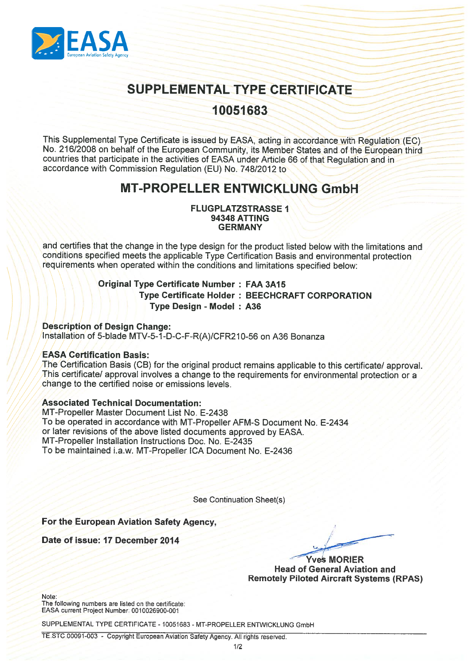

# SUPPLEMENTAL TYPE CERTIFICATE

## 10051683

This Supplemental Type Certificate is issued by EASA, acting in accordance with Regulation (EC) No. 216/2008 on behalf of the European Community, its Member States and of the European third countries that participate in the activities of EASA under Article <sup>66</sup> of that Regulation and in accordance with Commission Regulation (EU) No. 748/2012 to

## MT-PROPELLER ENTWICKLUNG GmbH

#### FLUGPLATZSTRASSE I 94348 ATTING **GERMANY**

and certifies that the change in the type design for the product listed below with the limitations and conditions specified meets the applicable Type Certification Basis and environmental protection requirements when operated within the conditions and limitations specified below:

### Original Type Certificate Number : FAA 3A1 5 Type Certificate Holder : BEECHCRAFT CORPORATION Type Design - Model : A36

#### Description of Design Change:

Installation of 5-blade MTV-5-J-D-C-F-R(A)/CFR21O-56 on A36 Bonanza

#### EASA Certification Basis:

The Certification Basis (CB) for the original product remains applicable to this certificate/ approval. This certificate/ approval involves a change to the requirements for environmental protection or a change to the certified noise or emissions levels.

#### Associated Technical Documentation:

MT-Propeller Master Document List No. E-2438 To be operated in accordance with MT-Propeller AFM-S Document No. E-2434 or later revisions of the above listed documents approved by EASA. MT-Propeller Installation Instructions Doc. No. E-2435 To be maintained i.a.w. MT-Propeller ICA Document No. E-2436

See Continuation Sheet(s)

### For the European Aviation Safety Agency,

Date of issue: 17 December 2014

Yves MORIER Head of General Aviation and Remotely Piloted Aircraft Systems (RPAS)

Note:

The following numbers are listed on the certificate: EASA current Project Number: 0010026900-001

SUPPLEMENTAL TYPE CERTIFICATE - 10051683 - MT-PROPELLER ENTWICKLUNG GmbH